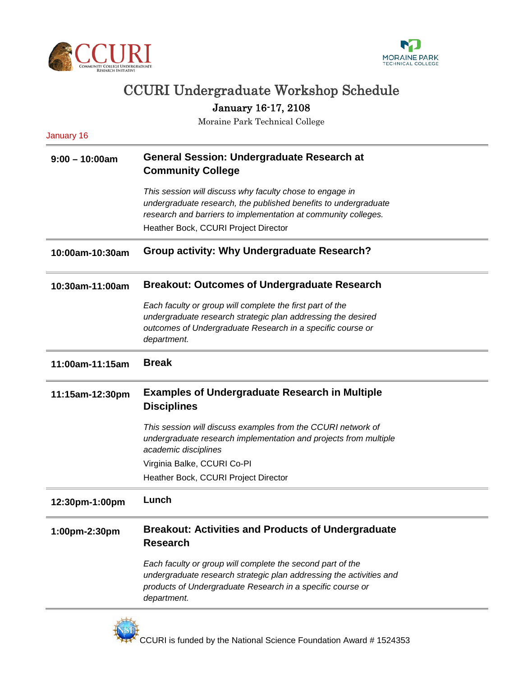



## CCURI Undergraduate Workshop Schedule

January 16-17, 2108

Moraine Park Technical College

| January 16       |                                                                                                                                                                                                                                       |
|------------------|---------------------------------------------------------------------------------------------------------------------------------------------------------------------------------------------------------------------------------------|
| $9:00 - 10:00am$ | <b>General Session: Undergraduate Research at</b><br><b>Community College</b>                                                                                                                                                         |
|                  | This session will discuss why faculty chose to engage in<br>undergraduate research, the published benefits to undergraduate<br>research and barriers to implementation at community colleges.<br>Heather Bock, CCURI Project Director |
| 10:00am-10:30am  | Group activity: Why Undergraduate Research?                                                                                                                                                                                           |
| 10:30am-11:00am  | <b>Breakout: Outcomes of Undergraduate Research</b>                                                                                                                                                                                   |
|                  | Each faculty or group will complete the first part of the<br>undergraduate research strategic plan addressing the desired<br>outcomes of Undergraduate Research in a specific course or<br>department.                                |
| 11:00am-11:15am  | <b>Break</b>                                                                                                                                                                                                                          |
| 11:15am-12:30pm  | <b>Examples of Undergraduate Research in Multiple</b><br><b>Disciplines</b>                                                                                                                                                           |
|                  | This session will discuss examples from the CCURI network of<br>undergraduate research implementation and projects from multiple<br>academic disciplines                                                                              |
|                  | Virginia Balke, CCURI Co-PI                                                                                                                                                                                                           |
|                  | Heather Bock, CCURI Project Director                                                                                                                                                                                                  |
| 12:30pm-1:00pm   | Lunch                                                                                                                                                                                                                                 |
| 1:00pm-2:30pm    | <b>Breakout: Activities and Products of Undergraduate</b><br><b>Research</b>                                                                                                                                                          |
|                  | Each faculty or group will complete the second part of the<br>undergraduate research strategic plan addressing the activities and<br>products of Undergraduate Research in a specific course or<br>department.                        |